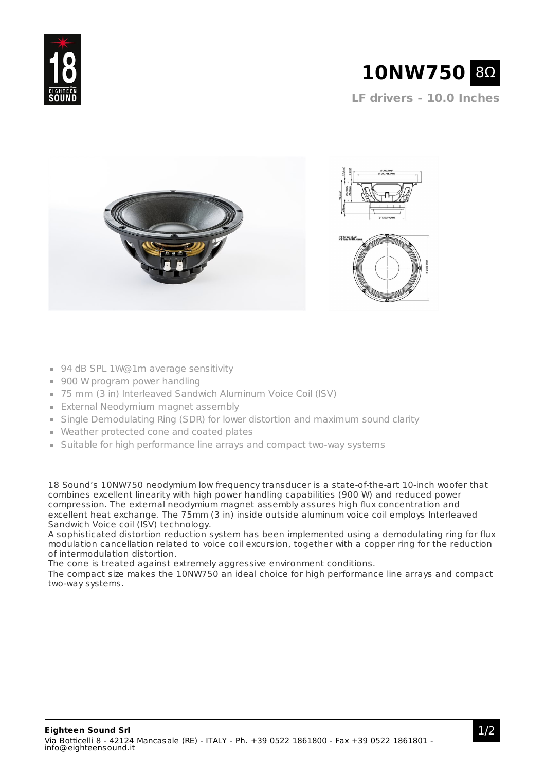



- 94 dB SPL 1W@1m average sensitivity
- 900 W program power handling
- 75 mm (3 in) Interleaved Sandwich Aluminum Voice Coil (ISV)
- **External Neodymium magnet assembly**
- **Single Demodulating Ring (SDR) for lower distortion and maximum sound clarity**
- Weather protected cone and coated plates
- **Suitable for high performance line arrays and compact two-way systems**

18 Sound's 10NW750 neodymium low frequency transducer is a state-of-the-art 10-inch woofer that combines excellent linearity with high power handling capabilities (900 W) and reduced power compression. The external neodymium magnet assembly assures high flux concentration and excellent heat exchange. The 75mm (3 in) inside outside aluminum voice coil employs Interleaved Sandwich Voice coil (ISV) technology.

A sophisticated distortion reduction system has been implemented using a demodulating ring for flux modulation cancellation related to voice coil excursion, together with a copper ring for the reduction of intermodulation distortion.

The cone is treated against extremely aggressive environment conditions.

The compact size makes the 10NW750 an ideal choice for high performance line arrays and compact two-way systems.